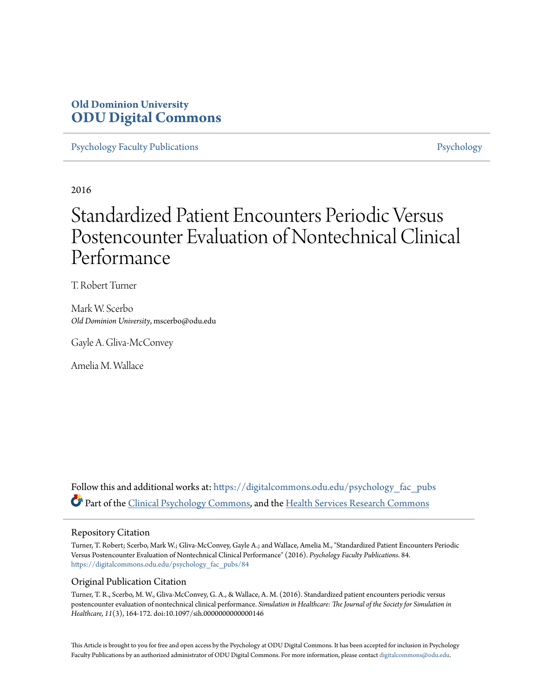# **Old Dominion University [ODU Digital Commons](https://digitalcommons.odu.edu?utm_source=digitalcommons.odu.edu%2Fpsychology_fac_pubs%2F84&utm_medium=PDF&utm_campaign=PDFCoverPages)**

[Psychology Faculty Publications](https://digitalcommons.odu.edu/psychology_fac_pubs?utm_source=digitalcommons.odu.edu%2Fpsychology_fac_pubs%2F84&utm_medium=PDF&utm_campaign=PDFCoverPages) **[Psychology](https://digitalcommons.odu.edu/psychology?utm_source=digitalcommons.odu.edu%2Fpsychology_fac_pubs%2F84&utm_medium=PDF&utm_campaign=PDFCoverPages)** 

2016

# Standardized Patient Encounters Periodic Versus Postencounter Evaluation of Nontechnical Clinical Performance

T. Robert Turner

Mark W. Scerbo *Old Dominion University*, mscerbo@odu.edu

Gayle A. Gliva-McConvey

Amelia M. Wallace

Follow this and additional works at: [https://digitalcommons.odu.edu/psychology\\_fac\\_pubs](https://digitalcommons.odu.edu/psychology_fac_pubs?utm_source=digitalcommons.odu.edu%2Fpsychology_fac_pubs%2F84&utm_medium=PDF&utm_campaign=PDFCoverPages) Part of the [Clinical Psychology Commons,](http://network.bepress.com/hgg/discipline/406?utm_source=digitalcommons.odu.edu%2Fpsychology_fac_pubs%2F84&utm_medium=PDF&utm_campaign=PDFCoverPages) and the [Health Services Research Commons](http://network.bepress.com/hgg/discipline/816?utm_source=digitalcommons.odu.edu%2Fpsychology_fac_pubs%2F84&utm_medium=PDF&utm_campaign=PDFCoverPages)

# Repository Citation

Turner, T. Robert; Scerbo, Mark W.; Gliva-McConvey, Gayle A.; and Wallace, Amelia M., "Standardized Patient Encounters Periodic Versus Postencounter Evaluation of Nontechnical Clinical Performance" (2016). *Psychology Faculty Publications*. 84. [https://digitalcommons.odu.edu/psychology\\_fac\\_pubs/84](https://digitalcommons.odu.edu/psychology_fac_pubs/84?utm_source=digitalcommons.odu.edu%2Fpsychology_fac_pubs%2F84&utm_medium=PDF&utm_campaign=PDFCoverPages)

# Original Publication Citation

Turner, T. R., Scerbo, M. W., Gliva-McConvey, G. A., & Wallace, A. M. (2016). Standardized patient encounters periodic versus postencounter evaluation of nontechnical clinical performance. *Simulation in Healthcare: The Journal of the Society for Simulation in Healthcare, 11*(3), 164-172. doi:10.1097/sih.0000000000000146

This Article is brought to you for free and open access by the Psychology at ODU Digital Commons. It has been accepted for inclusion in Psychology Faculty Publications by an authorized administrator of ODU Digital Commons. For more information, please contact [digitalcommons@odu.edu.](mailto:digitalcommons@odu.edu)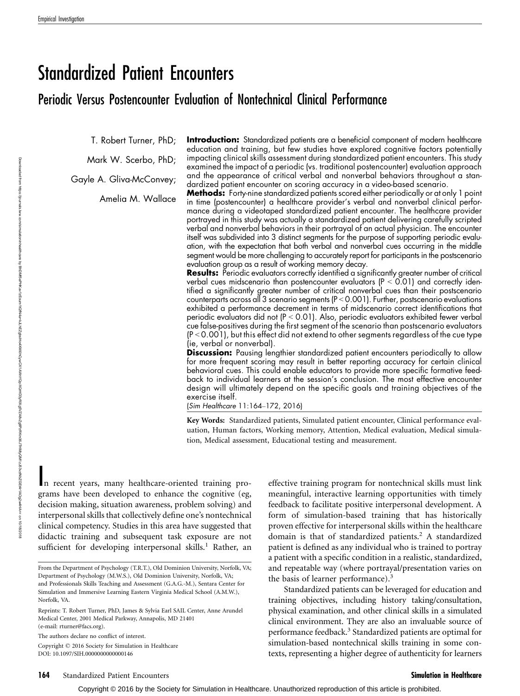# Standardized Patient Encounters

# Periodic Versus Postencounter Evaluation of Nontechnical Clinical Performance

T. Robert Turner, PhD;

Mark W. Scerbo, PhD;

Gayle A. Gliva-McConvey;

Amelia M. Wallace

**Introduction:** Standardized patients are a beneficial component of modern healthcare education and training, but few studies have explored cognitive factors potentially impacting clinical skills assessment during standardized patient encounters. This study examined the impact of a periodic (vs. traditional postencounter) evaluation approach and the appearance of critical verbal and nonverbal behaviors throughout a standardized patient encounter on scoring accuracy in a video-based scenario.

Methods: Forty-nine standardized patients scored either periodically or at only 1 point in time (postencounter) a healthcare provider's verbal and nonverbal clinical performance during a videotaped standardized patient encounter. The healthcare provider portrayed in this study was actually a standardized patient delivering carefully scripted verbal and nonverbal behaviors in their portrayal of an actual physician. The encounter itself was subdivided into 3 distinct segments for the purpose of supporting periodic evaluation, with the expectation that both verbal and nonverbal cues occurring in the middle segment would be more challenging to accurately report for participants in the postscenario evaluation group as a result of working memory decay.

**Results:** Periodic evaluators correctly identified a significantly greater number of critical verbal cues midscenario than postencounter evaluators  $(P < 0.01)$  and correctly identified a significantly greater number of critical nonverbal cues than their postscenario counterparts across all 3 scenario segments ( $P < 0.001$ ). Further, postscenario evaluations exhibited a performance decrement in terms of midscenario correct identifications that periodic evaluators did not  $(P < 0.01)$ . Also, periodic evaluators exhibited fewer verbal cue false-positives during the first segment of the scenario than postscenario evaluators (P  $<$  0.001), but this effect did not extend to other segments regardless of the cue type (ie, verbal or nonverbal).

Discussion: Pausing lengthier standardized patient encounters periodically to allow for more frequent scoring may result in better reporting accuracy for certain clinical behavioral cues. This could enable educators to provide more specific formative feedback to individual learners at the session's conclusion. The most effective encounter design will ultimately depend on the specific goals and training objectives of the exercise itself.

(Sim Healthcare 11:164-172, 2016)

Key Words: Standardized patients, Simulated patient encounter, Clinical performance evaluation, Human factors, Working memory, Attention, Medical evaluation, Medical simulation, Medical assessment, Educational testing and measurement.

In recent years, many healthcare-oriented training programs have been developed to enhance the cognitive (eg, decision making, situation awareness, problem solving) and interpersonal skills that collectively define one's nontechnical clinical competency. Studies in this area have suggested that didactic training and subsequent task exposure are not sufficient for developing interpersonal skills.<sup>1</sup> Rather, an

Reprints: T. Robert Turner, PhD, James & Sylvia Earl SAIL Center, Anne Arundel Medical Center, 2001 Medical Parkway, Annapolis, MD 21401 (e-mail: [rturner@facs.org\)](mailto:rturner@facs.org).

The authors declare no conflict of interest.

Copyright © 2016 Society for Simulation in Healthcare DOI: 10.1097/SIH.0000000000000146

effective training program for nontechnical skills must link meaningful, interactive learning opportunities with timely feedback to facilitate positive interpersonal development. A form of simulation-based training that has historically proven effective for interpersonal skills within the healthcare domain is that of standardized patients.<sup>2</sup> A standardized patient is defined as any individual who is trained to portray a patient with a specific condition in a realistic, standardized, and repeatable way (where portrayal/presentation varies on the basis of learner performance).<sup>3</sup>

Standardized patients can be leveraged for education and training objectives, including history taking/consultation, physical examination, and other clinical skills in a simulated clinical environment. They are also an invaluable source of performance feedback.<sup>3</sup> Standardized patients are optimal for simulation-based nontechnical skills training in some contexts, representing a higher degree of authenticity for learners

From the Department of Psychology (T.R.T.), Old Dominion University, Norfolk, VA; Department of Psychology (M.W.S.), Old Dominion University, Norfolk, VA; and Professionals Skills Teaching and Assessment (G.A.G.-M.), Sentara Center for Simulation and Immersive Learning Eastern Virginia Medical School (A.M.W.), Norfolk, VA.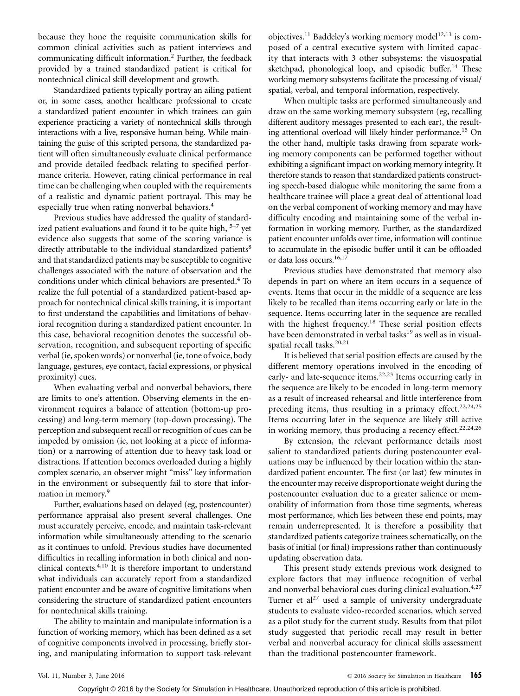because they hone the requisite communication skills for common clinical activities such as patient interviews and communicating difficult information.2 Further, the feedback provided by a trained standardized patient is critical for nontechnical clinical skill development and growth.

Standardized patients typically portray an ailing patient or, in some cases, another healthcare professional to create a standardized patient encounter in which trainees can gain experience practicing a variety of nontechnical skills through interactions with a live, responsive human being. While maintaining the guise of this scripted persona, the standardized patient will often simultaneously evaluate clinical performance and provide detailed feedback relating to specified performance criteria. However, rating clinical performance in real time can be challenging when coupled with the requirements of a realistic and dynamic patient portrayal. This may be especially true when rating nonverbal behaviors.<sup>4</sup>

Previous studies have addressed the quality of standardized patient evaluations and found it to be quite high,  $5-7$  yet evidence also suggests that some of the scoring variance is directly attributable to the individual standardized patients<sup>8</sup> and that standardized patients may be susceptible to cognitive challenges associated with the nature of observation and the conditions under which clinical behaviors are presented.<sup>4</sup> To realize the full potential of a standardized patient-based approach for nontechnical clinical skills training, it is important to first understand the capabilities and limitations of behavioral recognition during a standardized patient encounter. In this case, behavioral recognition denotes the successful observation, recognition, and subsequent reporting of specific verbal (ie, spoken words) or nonverbal (ie, tone of voice, body language, gestures, eye contact, facial expressions, or physical proximity) cues.

When evaluating verbal and nonverbal behaviors, there are limits to one's attention. Observing elements in the environment requires a balance of attention (bottom-up processing) and long-term memory (top-down processing). The perception and subsequent recall or recognition of cues can be impeded by omission (ie, not looking at a piece of information) or a narrowing of attention due to heavy task load or distractions. If attention becomes overloaded during a highly complex scenario, an observer might ''miss'' key information in the environment or subsequently fail to store that information in memory.<sup>9</sup>

Further, evaluations based on delayed (eg, postencounter) performance appraisal also present several challenges. One must accurately perceive, encode, and maintain task-relevant information while simultaneously attending to the scenario as it continues to unfold. Previous studies have documented difficulties in recalling information in both clinical and nonclinical contexts.4,10 It is therefore important to understand what individuals can accurately report from a standardized patient encounter and be aware of cognitive limitations when considering the structure of standardized patient encounters for nontechnical skills training.

The ability to maintain and manipulate information is a function of working memory, which has been defined as a set of cognitive components involved in processing, briefly storing, and manipulating information to support task-relevant

objectives.<sup>11</sup> Baddeley's working memory model<sup>12,13</sup> is composed of a central executive system with limited capacity that interacts with 3 other subsystems: the visuospatial sketchpad, phonological loop, and episodic buffer.<sup>14</sup> These working memory subsystems facilitate the processing of visual/ spatial, verbal, and temporal information, respectively.

When multiple tasks are performed simultaneously and draw on the same working memory subsystem (eg, recalling different auditory messages presented to each ear), the resulting attentional overload will likely hinder performance.<sup>15</sup> On the other hand, multiple tasks drawing from separate working memory components can be performed together without exhibiting a significant impact on working memory integrity. It therefore stands to reason that standardized patients constructing speech-based dialogue while monitoring the same from a healthcare trainee will place a great deal of attentional load on the verbal component of working memory and may have difficulty encoding and maintaining some of the verbal information in working memory. Further, as the standardized patient encounter unfolds over time, information will continue to accumulate in the episodic buffer until it can be offloaded or data loss occurs.<sup>16,17</sup>

Previous studies have demonstrated that memory also depends in part on where an item occurs in a sequence of events. Items that occur in the middle of a sequence are less likely to be recalled than items occurring early or late in the sequence. Items occurring later in the sequence are recalled with the highest frequency.<sup>18</sup> These serial position effects have been demonstrated in verbal tasks<sup>19</sup> as well as in visualspatial recall tasks.<sup>20,21</sup>

It is believed that serial position effects are caused by the different memory operations involved in the encoding of early- and late-sequence items.<sup>22,23</sup> Items occurring early in the sequence are likely to be encoded in long-term memory as a result of increased rehearsal and little interference from preceding items, thus resulting in a primacy effect.<sup>22,24,25</sup> Items occurring later in the sequence are likely still active in working memory, thus producing a recency effect. $22,24,26$ 

By extension, the relevant performance details most salient to standardized patients during postencounter evaluations may be influenced by their location within the standardized patient encounter. The first (or last) few minutes in the encounter may receive disproportionate weight during the postencounter evaluation due to a greater salience or memorability of information from those time segments, whereas most performance, which lies between these end points, may remain underrepresented. It is therefore a possibility that standardized patients categorize trainees schematically, on the basis of initial (or final) impressions rather than continuously updating observation data.

This present study extends previous work designed to explore factors that may influence recognition of verbal and nonverbal behavioral cues during clinical evaluation. $4.27$ Turner et  $al^{27}$  used a sample of university undergraduate students to evaluate video-recorded scenarios, which served as a pilot study for the current study. Results from that pilot study suggested that periodic recall may result in better verbal and nonverbal accuracy for clinical skills assessment than the traditional postencounter framework.

Copyright © 2016 by the Society for Simulation in Healthcare. Unauthorized reproduction of this article is prohibited.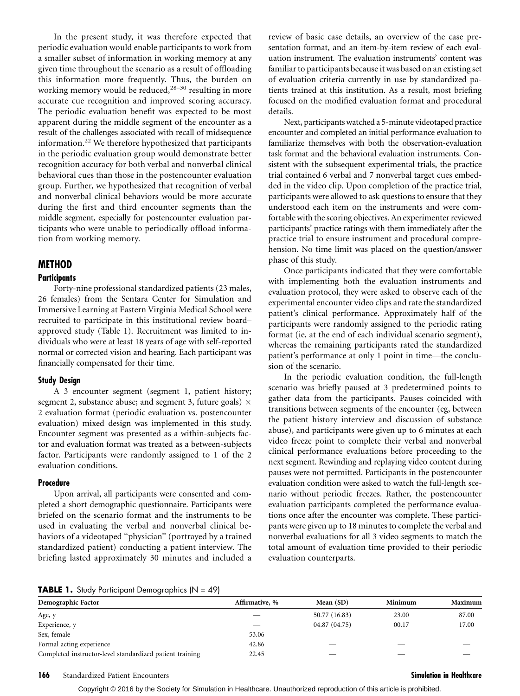In the present study, it was therefore expected that periodic evaluation would enable participants to work from a smaller subset of information in working memory at any given time throughout the scenario as a result of offloading this information more frequently. Thus, the burden on working memory would be reduced, $28-30$  resulting in more accurate cue recognition and improved scoring accuracy. The periodic evaluation benefit was expected to be most apparent during the middle segment of the encounter as a result of the challenges associated with recall of midsequence information.<sup>22</sup> We therefore hypothesized that participants in the periodic evaluation group would demonstrate better recognition accuracy for both verbal and nonverbal clinical behavioral cues than those in the postencounter evaluation group. Further, we hypothesized that recognition of verbal and nonverbal clinical behaviors would be more accurate during the first and third encounter segments than the middle segment, especially for postencounter evaluation participants who were unable to periodically offload information from working memory.

# METHOD

# **Participants**

Forty-nine professional standardized patients (23 males, 26 females) from the Sentara Center for Simulation and Immersive Learning at Eastern Virginia Medical School were recruited to participate in this institutional review boardapproved study (Table 1). Recruitment was limited to individuals who were at least 18 years of age with self-reported normal or corrected vision and hearing. Each participant was financially compensated for their time.

## Study Design

A 3 encounter segment (segment 1, patient history; segment 2, substance abuse; and segment 3, future goals)  $\times$ 2 evaluation format (periodic evaluation vs. postencounter evaluation) mixed design was implemented in this study. Encounter segment was presented as a within-subjects factor and evaluation format was treated as a between-subjects factor. Participants were randomly assigned to 1 of the 2 evaluation conditions.

## Procedure

Upon arrival, all participants were consented and completed a short demographic questionnaire. Participants were briefed on the scenario format and the instruments to be used in evaluating the verbal and nonverbal clinical behaviors of a videotaped ''physician'' (portrayed by a trained standardized patient) conducting a patient interview. The briefing lasted approximately 30 minutes and included a

review of basic case details, an overview of the case presentation format, and an item-by-item review of each evaluation instrument. The evaluation instruments' content was familiar to participants because it was based on an existing set of evaluation criteria currently in use by standardized patients trained at this institution. As a result, most briefing focused on the modified evaluation format and procedural details.

Next, participants watched a 5-minute videotaped practice encounter and completed an initial performance evaluation to familiarize themselves with both the observation-evaluation task format and the behavioral evaluation instruments. Consistent with the subsequent experimental trials, the practice trial contained 6 verbal and 7 nonverbal target cues embedded in the video clip. Upon completion of the practice trial, participants were allowed to ask questions to ensure that they understood each item on the instruments and were comfortable with the scoring objectives. An experimenter reviewed participants' practice ratings with them immediately after the practice trial to ensure instrument and procedural comprehension. No time limit was placed on the question/answer phase of this study.

Once participants indicated that they were comfortable with implementing both the evaluation instruments and evaluation protocol, they were asked to observe each of the experimental encounter video clips and rate the standardized patient's clinical performance. Approximately half of the participants were randomly assigned to the periodic rating format (ie, at the end of each individual scenario segment), whereas the remaining participants rated the standardized patient's performance at only 1 point in time—the conclusion of the scenario.

In the periodic evaluation condition, the full-length scenario was briefly paused at 3 predetermined points to gather data from the participants. Pauses coincided with transitions between segments of the encounter (eg, between the patient history interview and discussion of substance abuse), and participants were given up to 6 minutes at each video freeze point to complete their verbal and nonverbal clinical performance evaluations before proceeding to the next segment. Rewinding and replaying video content during pauses were not permitted. Participants in the postencounter evaluation condition were asked to watch the full-length scenario without periodic freezes. Rather, the postencounter evaluation participants completed the performance evaluations once after the encounter was complete. These participants were given up to 18 minutes to complete the verbal and nonverbal evaluations for all 3 video segments to match the total amount of evaluation time provided to their periodic evaluation counterparts.

#### **TABLE 1.** Study Participant Demographics  $[N = 49]$

| Demographic Factor                                       | Affirmative, % | Mean $(SD)$   | Minimum | Maximum |
|----------------------------------------------------------|----------------|---------------|---------|---------|
| Age, y                                                   |                | 50.77 (16.83) | 23.00   | 87.00   |
| Experience, y                                            |                | 04.87 (04.75) | 00.17   | 17.00   |
| Sex, female                                              | 53.06          |               |         |         |
| Formal acting experience                                 | 42.86          |               |         |         |
| Completed instructor-level standardized patient training | 22.45          |               |         |         |

## 166 Standardized Patient Encounters Simulation in Healthcare Standardized Patients Simulation in Healthcare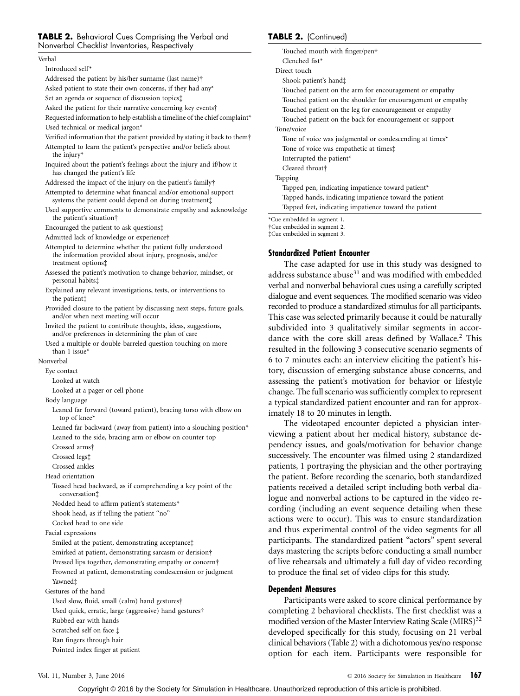# **TABLE 2.** Behavioral Cues Comprising the Verbal and Nonverbal Checklist Inventories, Respectively

#### Verbal

Introduced self\* Addressed the patient by his/her surname (last name)† Asked patient to state their own concerns, if they had any\* Set an agenda or sequence of discussion topics‡ Asked the patient for their narrative concerning key events† Requested information to help establish a timeline of the chief complaint\* Used technical or medical jargon\* Verified information that the patient provided by stating it back to them† Attempted to learn the patient's perspective and/or beliefs about the injury\* Inquired about the patient's feelings about the injury and if/how it has changed the patient's life Addressed the impact of the injury on the patient's family† Attempted to determine what financial and/or emotional support systems the patient could depend on during treatment‡ Used supportive comments to demonstrate empathy and acknowledge the patient's situation† Encouraged the patient to ask questions‡ Admitted lack of knowledge or experience† Attempted to determine whether the patient fully understood the information provided about injury, prognosis, and/or treatment options‡ Assessed the patient's motivation to change behavior, mindset, or personal habits‡ Explained any relevant investigations, tests, or interventions to the patient‡ Provided closure to the patient by discussing next steps, future goals, and/or when next meeting will occur Invited the patient to contribute thoughts, ideas, suggestions, and/or preferences in determining the plan of care Used a multiple or double-barreled question touching on more than 1 issue\* Nonverbal Eye contact Looked at watch Looked at a pager or cell phone Body language Leaned far forward (toward patient), bracing torso with elbow on top of knee\* Leaned far backward (away from patient) into a slouching position\* Leaned to the side, bracing arm or elbow on counter top Crossed arms† Crossed legs‡ Crossed ankles Head orientation Tossed head backward, as if comprehending a key point of the conversation‡ Nodded head to affirm patient's statements\* Shook head, as if telling the patient ''no'' Cocked head to one side Facial expressions Smiled at the patient, demonstrating acceptance‡ Smirked at patient, demonstrating sarcasm or derision† Pressed lips together, demonstrating empathy or concern† Frowned at patient, demonstrating condescension or judgment Yawned‡ Gestures of the hand Used slow, fluid, small (calm) hand gestures† Used quick, erratic, large (aggressive) hand gestures† Rubbed ear with hands Scratched self on face ‡ Ran fingers through hair Pointed index finger at patient

# TABLE 2. (Continued)

Touched mouth with finger/pen† Clenched fist\* Direct touch Shook patient's hand‡ Touched patient on the arm for encouragement or empathy Touched patient on the shoulder for encouragement or empathy Touched patient on the leg for encouragement or empathy Touched patient on the back for encouragement or support Tone/voice Tone of voice was judgmental or condescending at times\* Tone of voice was empathetic at times‡ Interrupted the patient\* Cleared throat† Tapping Tapped pen, indicating impatience toward patient\* Tapped hands, indicating impatience toward the patient Tapped feet, indicating impatience toward the patient

\*Cue embedded in segment 1.

†Cue embedded in segment 2. ‡Cue embedded in segment 3.

# Standardized Patient Encounter

The case adapted for use in this study was designed to address substance abuse<sup>31</sup> and was modified with embedded verbal and nonverbal behavioral cues using a carefully scripted dialogue and event sequences. The modified scenario was video recorded to produce a standardized stimulus for all participants. This case was selected primarily because it could be naturally subdivided into 3 qualitatively similar segments in accordance with the core skill areas defined by Wallace.<sup>2</sup> This resulted in the following 3 consecutive scenario segments of 6 to 7 minutes each: an interview eliciting the patient's history, discussion of emerging substance abuse concerns, and assessing the patient's motivation for behavior or lifestyle change. The full scenario was sufficiently complex to represent a typical standardized patient encounter and ran for approximately 18 to 20 minutes in length.

The videotaped encounter depicted a physician interviewing a patient about her medical history, substance dependency issues, and goals/motivation for behavior change successively. The encounter was filmed using 2 standardized patients, 1 portraying the physician and the other portraying the patient. Before recording the scenario, both standardized patients received a detailed script including both verbal dialogue and nonverbal actions to be captured in the video recording (including an event sequence detailing when these actions were to occur). This was to ensure standardization and thus experimental control of the video segments for all participants. The standardized patient ''actors'' spent several days mastering the scripts before conducting a small number of live rehearsals and ultimately a full day of video recording to produce the final set of video clips for this study.

# Dependent Measures

Participants were asked to score clinical performance by completing 2 behavioral checklists. The first checklist was a modified version of the Master Interview Rating Scale  $(MIRS)^{32}$ developed specifically for this study, focusing on 21 verbal clinical behaviors (Table 2) with a dichotomous yes/no response option for each item. Participants were responsible for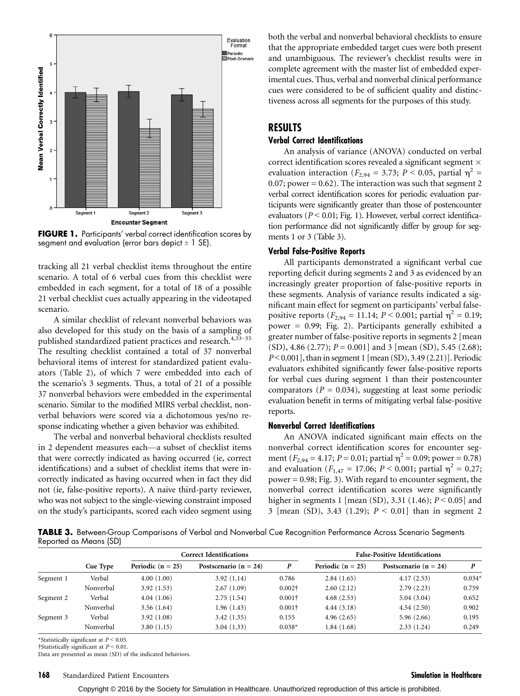

**FIGURE 1.** Participants' verbal correct identification scores by segment and evaluation (error bars depict  $\pm$  1 SE).

tracking all 21 verbal checklist items throughout the entire scenario. A total of 6 verbal cues from this checklist were embedded in each segment, for a total of 18 of a possible 21 verbal checklist cues actually appearing in the videotaped scenario.

A similar checklist of relevant nonverbal behaviors was also developed for this study on the basis of a sampling of published standardized patient practices and research.<sup>4,33-35</sup> The resulting checklist contained a total of 37 nonverbal behavioral items of interest for standardized patient evaluators (Table 2), of which 7 were embedded into each of the scenario's 3 segments. Thus, a total of 21 of a possible 37 nonverbal behaviors were embedded in the experimental scenario. Similar to the modified MIRS verbal checklist, nonverbal behaviors were scored via a dichotomous yes/no response indicating whether a given behavior was exhibited.

The verbal and nonverbal behavioral checklists resulted in 2 dependent measures each—a subset of checklist items that were correctly indicated as having occurred (ie, correct identifications) and a subset of checklist items that were incorrectly indicated as having occurred when in fact they did not (ie, false-positive reports). A naive third-party reviewer, who was not subject to the single-viewing constraint imposed on the study's participants, scored each video segment using

both the verbal and nonverbal behavioral checklists to ensure that the appropriate embedded target cues were both present and unambiguous. The reviewer's checklist results were in complete agreement with the master list of embedded experimental cues. Thus, verbal and nonverbal clinical performance cues were considered to be of sufficient quality and distinctiveness across all segments for the purposes of this study.

# RESULTS

# Verbal Correct Identifications

An analysis of variance (ANOVA) conducted on verbal correct identification scores revealed a significant segment  $\times$ evaluation interaction ( $F_{2,94} = 3.73$ ;  $P < 0.05$ , partial  $\eta^2 =$ 0.07; power =  $0.62$ ). The interaction was such that segment 2 verbal correct identification scores for periodic evaluation participants were significantly greater than those of postencounter evaluators ( $P \le 0.01$ ; Fig. 1). However, verbal correct identification performance did not significantly differ by group for segments 1 or 3 (Table 3).

# Verbal False-Positive Reports

All participants demonstrated a significant verbal cue reporting deficit during segments 2 and 3 as evidenced by an increasingly greater proportion of false-positive reports in these segments. Analysis of variance results indicated a significant main effect for segment on participants' verbal falsepositive reports ( $F_{2,94} = 11.14$ ;  $P < 0.001$ ; partial  $\eta^2 = 0.19$ ; power = 0.99; Fig. 2). Participants generally exhibited a greater number of false-positive reports in segments 2 [mean  $(SD)$ , 4.86 (2.77);  $P = 0.001$  and 3 [mean (SD), 5.45 (2.68);  $P < 0.001$ ], than in segment 1 [mean (SD), 3.49 (2.21)]. Periodic evaluators exhibited significantly fewer false-positive reports for verbal cues during segment 1 than their postencounter comparators ( $P = 0.034$ ), suggesting at least some periodic evaluation benefit in terms of mitigating verbal false-positive reports.

# Nonverbal Correct Identifications

An ANOVA indicated significant main effects on the nonverbal correct identification scores for encounter segment ( $F_{2,94} = 4.17$ ;  $P = 0.01$ ; partial  $\eta^2 = 0.09$ ; power = 0.78) and evaluation ( $F_{1,47} = 17.06$ ;  $P < 0.001$ ; partial  $\eta^2 = 0.27$ ; power = 0.98; Fig. 3). With regard to encounter segment, the nonverbal correct identification scores were significantly higher in segments 1 [mean (SD), 3.31 (1.46);  $P < 0.05$ ] and 3 [mean (SD), 3.43 (1.29);  $P < 0.01$ ] than in segment 2

TABLE 3. Between-Group Comparisons of Verbal and Nonverbal Cue Recognition Performance Across Scenario Segments Reported as Means (SD)

|           | <b>Correct Identifications</b> |                       |                           | <b>False-Positive Identifications</b> |                     |                           |          |
|-----------|--------------------------------|-----------------------|---------------------------|---------------------------------------|---------------------|---------------------------|----------|
|           | Cue Type                       | Periodic ( $n = 25$ ) | Postscenario ( $n = 24$ ) | P                                     | Periodic $(n = 25)$ | Postscenario ( $n = 24$ ) |          |
| Segment 1 | Verbal                         | 4.00(1.00)            | 3.92(1.14)                | 0.786                                 | 2.84(1.65)          | 4.17(2.53)                | $0.034*$ |
|           | Nonverbal                      | 3.92(1.53)            | 2.67(1.09)                | $0.002\dagger$                        | 2.60(2.12)          | 2.79(2.23)                | 0.759    |
| Segment 2 | Verbal                         | 4.04(1.06)            | 2.75(1.54)                | $0.001\dagger$                        | 4.68(2.53)          | 5.04(3.04)                | 0.652    |
|           | Nonverbal                      | 3.56(1.64)            | 1.96(1.43)                | $0.001\dagger$                        | 4.44(3.18)          | 4.54(2.50)                | 0.902    |
| Segment 3 | Verbal                         | 3.92(1.08)            | 3.42(1.35)                | 0.155                                 | 4.96(2.65)          | 5.96(2.66)                | 0.195    |
|           | Nonverbal                      | 3.80(1.15)            | 3.04(1.33)                | $0.038*$                              | 1.84(1.68)          | 2.33(1.24)                | 0.249    |

\*Statistically significant at  $P < 0.05$ .

 $\dagger$ Statistically significant at  $P < 0.01$ . Data are presented as mean (SD) of the indicated behaviors.

## 168 Standardized Patient Encounters Simulation in Healthcare Simulation in Healthcare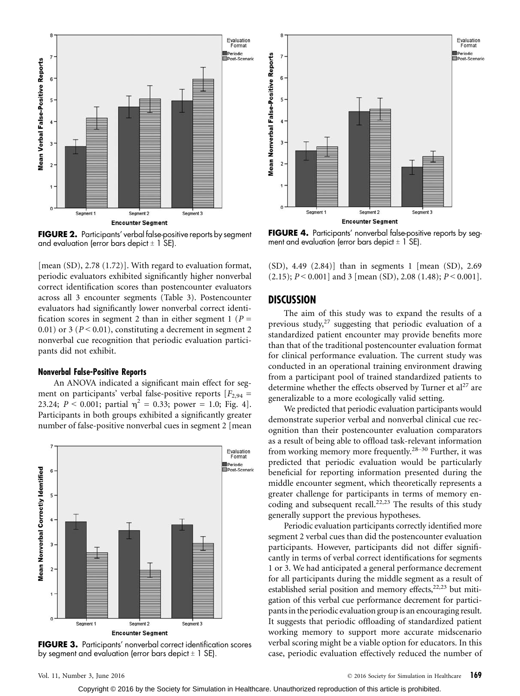

FIGURE 2. Participants' verbal false-positive reports by segment and evaluation (error bars depict  $\pm$  1 SE).

[mean (SD), 2.78 (1.72)]. With regard to evaluation format, periodic evaluators exhibited significantly higher nonverbal correct identification scores than postencounter evaluators across all 3 encounter segments (Table 3). Postencounter evaluators had significantly lower nonverbal correct identification scores in segment 2 than in either segment 1 ( $P =$ 0.01) or 3 ( $P < 0.01$ ), constituting a decrement in segment 2 nonverbal cue recognition that periodic evaluation participants did not exhibit.

# Nonverbal False-Positive Reports

An ANOVA indicated a significant main effect for segment on participants' verbal false-positive reports  $[F_{2,94} =$ 23.24;  $P < 0.001$ ; partial  $\eta^2 = 0.33$ ; power = 1.0; Fig. 4]. Participants in both groups exhibited a significantly greater number of false-positive nonverbal cues in segment 2 [mean



FIGURE 3. Participants' nonverbal correct identification scores by segment and evaluation (error bars depict  $\pm$  1 SE).



**FIGURE 4.** Participants' nonverbal false-positive reports by segment and evaluation (error bars depict  $\pm$  1 SE).

(SD), 4.49 (2.84)] than in segments 1 [mean (SD), 2.69  $(2.15); P < 0.001]$  and 3 [mean (SD), 2.08 (1.48);  $P < 0.001$ ].

# DISCUSSION

The aim of this study was to expand the results of a previous study, $27$  suggesting that periodic evaluation of a standardized patient encounter may provide benefits more than that of the traditional postencounter evaluation format for clinical performance evaluation. The current study was conducted in an operational training environment drawing from a participant pool of trained standardized patients to determine whether the effects observed by Turner et  $al<sup>27</sup>$  are generalizable to a more ecologically valid setting.

We predicted that periodic evaluation participants would demonstrate superior verbal and nonverbal clinical cue recognition than their postencounter evaluation comparators as a result of being able to offload task-relevant information from working memory more frequently.<sup>28-30</sup> Further, it was predicted that periodic evaluation would be particularly beneficial for reporting information presented during the middle encounter segment, which theoretically represents a greater challenge for participants in terms of memory encoding and subsequent recall.<sup>22,23</sup> The results of this study generally support the previous hypotheses.

Periodic evaluation participants correctly identified more segment 2 verbal cues than did the postencounter evaluation participants. However, participants did not differ significantly in terms of verbal correct identifications for segments 1 or 3. We had anticipated a general performance decrement for all participants during the middle segment as a result of established serial position and memory effects, $22,23$  but mitigation of this verbal cue performance decrement for participants in the periodic evaluation group is an encouraging result. It suggests that periodic offloading of standardized patient working memory to support more accurate midscenario verbal scoring might be a viable option for educators. In this case, periodic evaluation effectively reduced the number of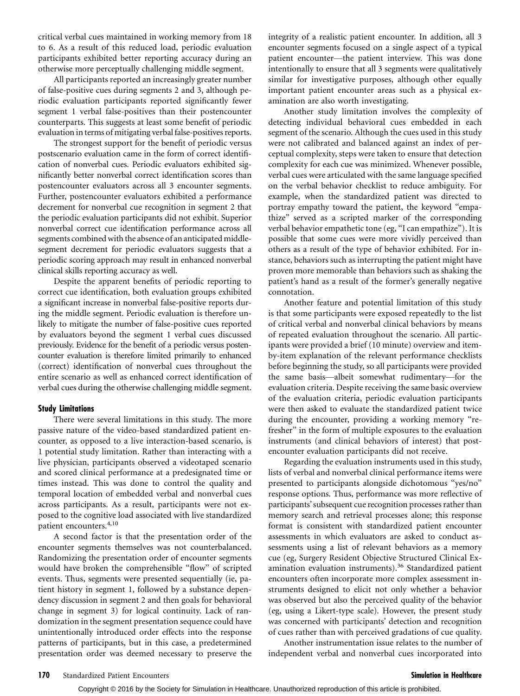critical verbal cues maintained in working memory from 18 to 6. As a result of this reduced load, periodic evaluation participants exhibited better reporting accuracy during an otherwise more perceptually challenging middle segment.

All participants reported an increasingly greater number of false-positive cues during segments 2 and 3, although periodic evaluation participants reported significantly fewer segment 1 verbal false-positives than their postencounter counterparts. This suggests at least some benefit of periodic evaluation in terms of mitigating verbal false-positives reports.

The strongest support for the benefit of periodic versus postscenario evaluation came in the form of correct identification of nonverbal cues. Periodic evaluators exhibited significantly better nonverbal correct identification scores than postencounter evaluators across all 3 encounter segments. Further, postencounter evaluators exhibited a performance decrement for nonverbal cue recognition in segment 2 that the periodic evaluation participants did not exhibit. Superior nonverbal correct cue identification performance across all segments combined with the absence of an anticipated middlesegment decrement for periodic evaluators suggests that a periodic scoring approach may result in enhanced nonverbal clinical skills reporting accuracy as well.

Despite the apparent benefits of periodic reporting to correct cue identification, both evaluation groups exhibited a significant increase in nonverbal false-positive reports during the middle segment. Periodic evaluation is therefore unlikely to mitigate the number of false-positive cues reported by evaluators beyond the segment 1 verbal cues discussed previously. Evidence for the benefit of a periodic versus postencounter evaluation is therefore limited primarily to enhanced (correct) identification of nonverbal cues throughout the entire scenario as well as enhanced correct identification of verbal cues during the otherwise challenging middle segment.

#### Study Limitations

There were several limitations in this study. The more passive nature of the video-based standardized patient encounter, as opposed to a live interaction-based scenario, is 1 potential study limitation. Rather than interacting with a live physician, participants observed a videotaped scenario and scored clinical performance at a predesignated time or times instead. This was done to control the quality and temporal location of embedded verbal and nonverbal cues across participants. As a result, participants were not exposed to the cognitive load associated with live standardized patient encounters.4,10

A second factor is that the presentation order of the encounter segments themselves was not counterbalanced. Randomizing the presentation order of encounter segments would have broken the comprehensible ''flow'' of scripted events. Thus, segments were presented sequentially (ie, patient history in segment 1, followed by a substance dependency discussion in segment 2 and then goals for behavioral change in segment 3) for logical continuity. Lack of randomization in the segment presentation sequence could have unintentionally introduced order effects into the response patterns of participants, but in this case, a predetermined presentation order was deemed necessary to preserve the integrity of a realistic patient encounter. In addition, all 3 encounter segments focused on a single aspect of a typical patient encounter—the patient interview. This was done intentionally to ensure that all 3 segments were qualitatively similar for investigative purposes, although other equally important patient encounter areas such as a physical examination are also worth investigating.

Another study limitation involves the complexity of detecting individual behavioral cues embedded in each segment of the scenario. Although the cues used in this study were not calibrated and balanced against an index of perceptual complexity, steps were taken to ensure that detection complexity for each cue was minimized. Whenever possible, verbal cues were articulated with the same language specified on the verbal behavior checklist to reduce ambiguity. For example, when the standardized patient was directed to portray empathy toward the patient, the keyword ''empathize'' served as a scripted marker of the corresponding verbal behavior empathetic tone (eg, ''I can empathize''). It is possible that some cues were more vividly perceived than others as a result of the type of behavior exhibited. For instance, behaviors such as interrupting the patient might have proven more memorable than behaviors such as shaking the patient's hand as a result of the former's generally negative connotation.

Another feature and potential limitation of this study is that some participants were exposed repeatedly to the list of critical verbal and nonverbal clinical behaviors by means of repeated evaluation throughout the scenario. All participants were provided a brief (10 minute) overview and itemby-item explanation of the relevant performance checklists before beginning the study, so all participants were provided the same basis—albeit somewhat rudimentary-for the evaluation criteria. Despite receiving the same basic overview of the evaluation criteria, periodic evaluation participants were then asked to evaluate the standardized patient twice during the encounter, providing a working memory ''refresher'' in the form of multiple exposures to the evaluation instruments (and clinical behaviors of interest) that postencounter evaluation participants did not receive.

Regarding the evaluation instruments used in this study, lists of verbal and nonverbal clinical performance items were presented to participants alongside dichotomous ''yes/no'' response options. Thus, performance was more reflective of participants' subsequent cue recognition processes rather than memory search and retrieval processes alone; this response format is consistent with standardized patient encounter assessments in which evaluators are asked to conduct assessments using a list of relevant behaviors as a memory cue (eg, Surgery Resident Objective Structured Clinical Examination evaluation instruments).<sup>36</sup> Standardized patient encounters often incorporate more complex assessment instruments designed to elicit not only whether a behavior was observed but also the perceived quality of the behavior (eg, using a Likert-type scale). However, the present study was concerned with participants' detection and recognition of cues rather than with perceived gradations of cue quality.

Another instrumentation issue relates to the number of independent verbal and nonverbal cues incorporated into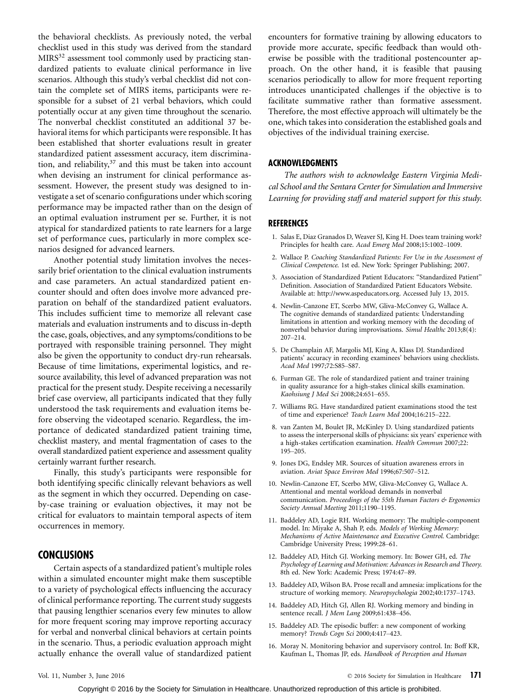the behavioral checklists. As previously noted, the verbal checklist used in this study was derived from the standard  $MIRS<sup>32</sup>$  assessment tool commonly used by practicing standardized patients to evaluate clinical performance in live scenarios. Although this study's verbal checklist did not contain the complete set of MIRS items, participants were responsible for a subset of 21 verbal behaviors, which could potentially occur at any given time throughout the scenario. The nonverbal checklist constituted an additional 37 behavioral items for which participants were responsible. It has been established that shorter evaluations result in greater standardized patient assessment accuracy, item discrimination, and reliability, $37$  and this must be taken into account when devising an instrument for clinical performance assessment. However, the present study was designed to investigate a set of scenario configurations under which scoring performance may be impacted rather than on the design of an optimal evaluation instrument per se. Further, it is not atypical for standardized patients to rate learners for a large set of performance cues, particularly in more complex scenarios designed for advanced learners.

Another potential study limitation involves the necessarily brief orientation to the clinical evaluation instruments and case parameters. An actual standardized patient encounter should and often does involve more advanced preparation on behalf of the standardized patient evaluators. This includes sufficient time to memorize all relevant case materials and evaluation instruments and to discuss in-depth the case, goals, objectives, and any symptoms/conditions to be portrayed with responsible training personnel. They might also be given the opportunity to conduct dry-run rehearsals. Because of time limitations, experimental logistics, and resource availability, this level of advanced preparation was not practical for the present study. Despite receiving a necessarily brief case overview, all participants indicated that they fully understood the task requirements and evaluation items before observing the videotaped scenario. Regardless, the importance of dedicated standardized patient training time, checklist mastery, and mental fragmentation of cases to the overall standardized patient experience and assessment quality certainly warrant further research.

Finally, this study's participants were responsible for both identifying specific clinically relevant behaviors as well as the segment in which they occurred. Depending on caseby-case training or evaluation objectives, it may not be critical for evaluators to maintain temporal aspects of item occurrences in memory.

# **CONCLUSIONS**

Certain aspects of a standardized patient's multiple roles within a simulated encounter might make them susceptible to a variety of psychological effects influencing the accuracy of clinical performance reporting. The current study suggests that pausing lengthier scenarios every few minutes to allow for more frequent scoring may improve reporting accuracy for verbal and nonverbal clinical behaviors at certain points in the scenario. Thus, a periodic evaluation approach might actually enhance the overall value of standardized patient

encounters for formative training by allowing educators to provide more accurate, specific feedback than would otherwise be possible with the traditional postencounter approach. On the other hand, it is feasible that pausing scenarios periodically to allow for more frequent reporting introduces unanticipated challenges if the objective is to facilitate summative rather than formative assessment. Therefore, the most effective approach will ultimately be the one, which takes into consideration the established goals and objectives of the individual training exercise.

# ACKNOWLEDGMENTS

The authors wish to acknowledge Eastern Virginia Medical School and the Sentara Center for Simulation and Immersive Learning for providing staff and materiel support for this study.

# **REFERENCES**

- 1. Salas E, Diaz Granados D, Weaver SJ, King H. Does team training work? Principles for health care. Acad Emerg Med 2008;15:1002-1009.
- 2. Wallace P. Coaching Standardized Patients: For Use in the Assessment of Clinical Competence. 1st ed. New York: Springer Publishing; 2007.
- 3. Association of Standardized Patient Educators: ''Standardized Patient'' Definition. Association of Standardized Patient Educators Website. Available at:<http://www.aspeducators.org>. Accessed July 13, 2015.
- 4. Newlin-Canzone ET, Scerbo MW, Gliva-McConvey G, Wallace A. The cognitive demands of standardized patients: Understanding limitations in attention and working memory with the decoding of nonverbal behavior during improvisations. Simul Healthc 2013;8(4):  $207 - 214.$
- 5. De Champlain AF, Margolis MJ, King A, Klass DJ. Standardized patients' accuracy in recording examinees' behaviors using checklists. Acad Med 1997;72:S85-S87.
- 6. Furman GE. The role of standardized patient and trainer training in quality assurance for a high-stakes clinical skills examination. Kaohsiung J Med Sci 2008;24:651-655.
- 7. Williams RG. Have standardized patient examinations stood the test of time and experience? Teach Learn Med 2004;16:215-222.
- 8. van Zanten M, Boulet JR, McKinley D. Using standardized patients to assess the interpersonal skills of physicians: six years' experience with a high-stakes certification examination. Health Commun 2007;22: 195-205.
- 9. Jones DG, Endsley MR. Sources of situation awareness errors in aviation. Aviat Space Environ Med 1996;67:507-512.
- 10. Newlin-Canzone ET, Scerbo MW, Gliva-McConvey G, Wallace A. Attentional and mental workload demands in nonverbal communication. Proceedings of the 55th Human Factors & Ergonomics Society Annual Meeting 2011;1190-1195.
- 11. Baddeley AD, Logie RH. Working memory: The multiple-component model. In: Miyake A, Shah P, eds. Models of Working Memory: Mechanisms of Active Maintenance and Executive Control. Cambridge: Cambridge University Press; 1999:28-61.
- 12. Baddeley AD, Hitch GJ. Working memory. In: Bower GH, ed. The Psychology of Learning and Motivation: Advances in Research and Theory. 8th ed. New York: Academic Press; 1974:47-89.
- 13. Baddeley AD, Wilson BA. Prose recall and amnesia: implications for the structure of working memory. Neuropsychologia 2002;40:1737-1743.
- 14. Baddeley AD, Hitch GJ, Allen RJ. Working memory and binding in sentence recall. J Mem Lang 2009;61:438-456.
- 15. Baddeley AD. The episodic buffer: a new component of working memory? Trends Cogn Sci 2000;4:417-423.
- 16. Moray N. Monitoring behavior and supervisory control. In: Boff KR, Kaufman L, Thomas JP, eds. Handbook of Perception and Human